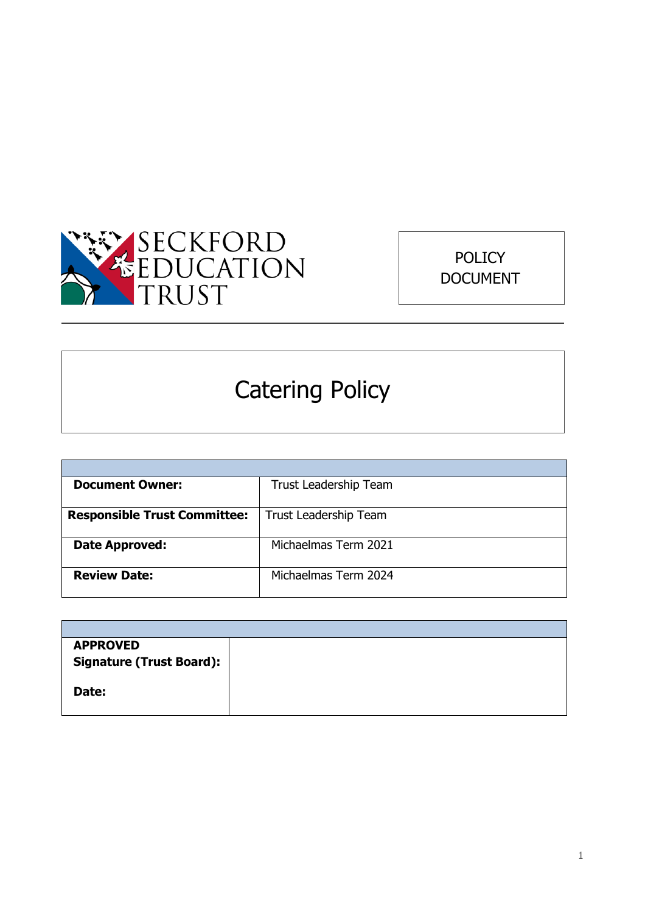



# Catering Policy

| <b>Document Owner:</b>              | <b>Trust Leadership Team</b> |  |
|-------------------------------------|------------------------------|--|
|                                     |                              |  |
| <b>Responsible Trust Committee:</b> | Trust Leadership Team        |  |
|                                     |                              |  |
| Date Approved:                      | Michaelmas Term 2021         |  |
|                                     |                              |  |
| <b>Review Date:</b>                 | Michaelmas Term 2024         |  |
|                                     |                              |  |

| <b>APPROVED</b>                 |
|---------------------------------|
| <b>Signature (Trust Board):</b> |
|                                 |
| Date:                           |
|                                 |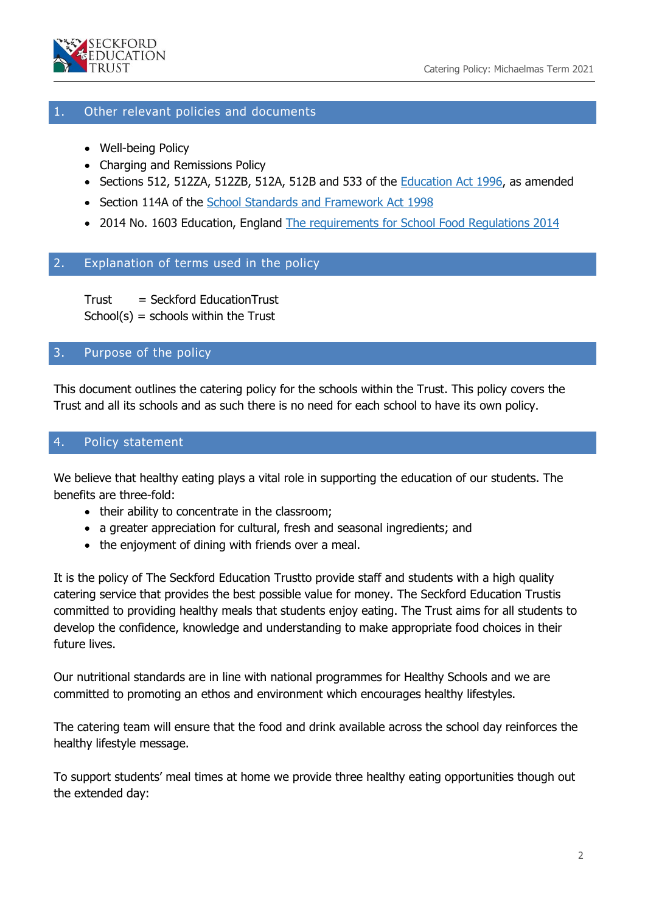

#### 1. Other relevant policies and documents

- Well-being Policy
- Charging and Remissions Policy
- Sections 512, 512ZA, 512ZB, 512A, 512B and 533 of the **Education Act 1996**, as amended
- Section 114A of the [School Standards and Framework Act 1998](http://www.legislation.gov.uk/ukpga/1998/31/contents)
- 2014 No. 1603 Education, England [The requirements for School Food Regulations 2014](https://www.legislation.gov.uk/uksi/2014/1603/contents/made)

#### 2. Explanation of terms used in the policy

Trust = Seckford EducationTrust  $School(s) = schools within the Trust$ 

#### 3. Purpose of the policy

This document outlines the catering policy for the schools within the Trust. This policy covers the Trust and all its schools and as such there is no need for each school to have its own policy.

#### 4. Policy statement

We believe that healthy eating plays a vital role in supporting the education of our students. The benefits are three-fold:

- their ability to concentrate in the classroom;
- a greater appreciation for cultural, fresh and seasonal ingredients; and
- the enjoyment of dining with friends over a meal.

It is the policy of The Seckford Education Trustto provide staff and students with a high quality catering service that provides the best possible value for money. The Seckford Education Trustis committed to providing healthy meals that students enjoy eating. The Trust aims for all students to develop the confidence, knowledge and understanding to make appropriate food choices in their future lives.

Our nutritional standards are in line with national programmes for Healthy Schools and we are committed to promoting an ethos and environment which encourages healthy lifestyles.

The catering team will ensure that the food and drink available across the school day reinforces the healthy lifestyle message.

To support students' meal times at home we provide three healthy eating opportunities though out the extended day: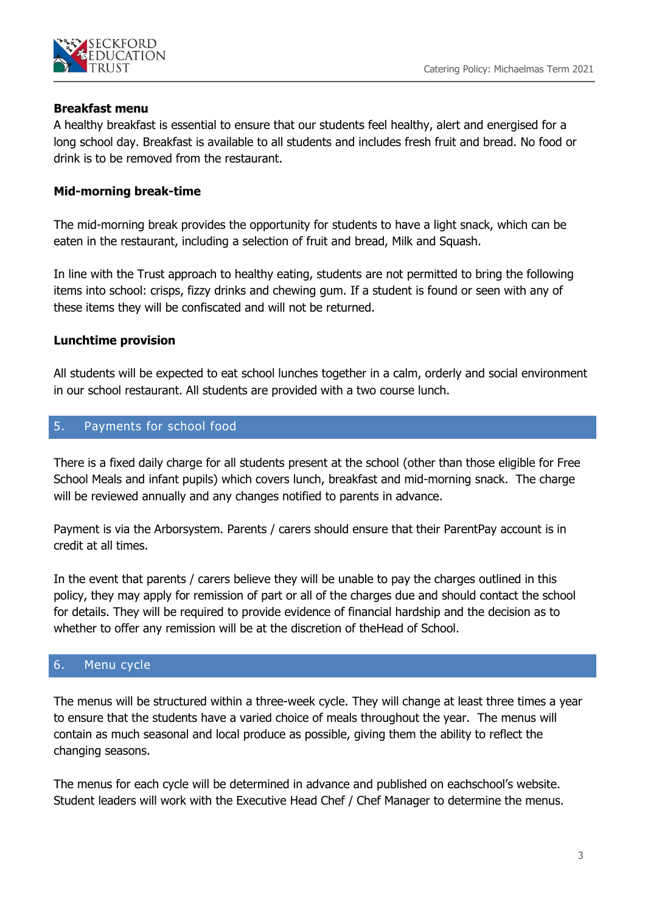

### **Breakfast menu**

A healthy breakfast is essential to ensure that our students feel healthy, alert and energised for a long school day. Breakfast is available to all students and includes fresh fruit and bread. No food or drink is to be removed from the restaurant.

# **Mid-morning break-time**

The mid-morning break provides the opportunity for students to have a light snack, which can be eaten in the restaurant, including a selection of fruit and bread, Milk and Squash.

In line with the Trust approach to healthy eating, students are not permitted to bring the following items into school: crisps, fizzy drinks and chewing gum. If a student is found or seen with any of these items they will be confiscated and will not be returned.

# **Lunchtime provision**

All students will be expected to eat school lunches together in a calm, orderly and social environment in our school restaurant. All students are provided with a two course lunch.

# 5. Payments for school food

There is a fixed daily charge for all students present at the school (other than those eligible for Free School Meals and infant pupils) which covers lunch, breakfast and mid-morning snack. The charge will be reviewed annually and any changes notified to parents in advance.

Payment is via the Arborsystem. Parents / carers should ensure that their ParentPay account is in credit at all times.

In the event that parents / carers believe they will be unable to pay the charges outlined in this policy, they may apply for remission of part or all of the charges due and should contact the school for details. They will be required to provide evidence of financial hardship and the decision as to whether to offer any remission will be at the discretion of theHead of School.

# 6. Menu cycle

The menus will be structured within a three-week cycle. They will change at least three times a year to ensure that the students have a varied choice of meals throughout the year. The menus will contain as much seasonal and local produce as possible, giving them the ability to reflect the changing seasons.

The menus for each cycle will be determined in advance and published on eachschool's website. Student leaders will work with the Executive Head Chef / Chef Manager to determine the menus.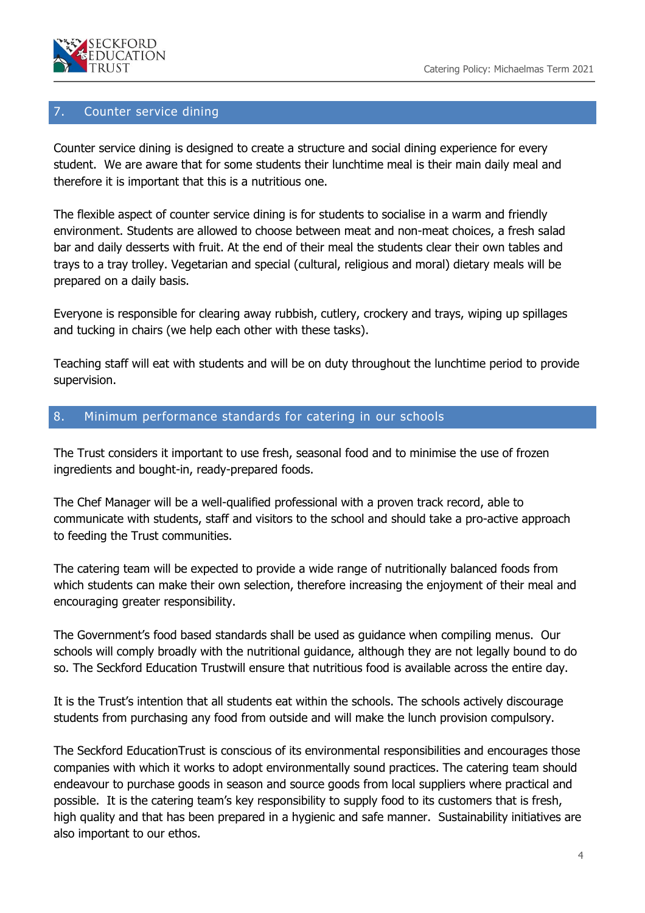

#### 7. Counter service dining

Counter service dining is designed to create a structure and social dining experience for every student. We are aware that for some students their lunchtime meal is their main daily meal and therefore it is important that this is a nutritious one.

The flexible aspect of counter service dining is for students to socialise in a warm and friendly environment. Students are allowed to choose between meat and non-meat choices, a fresh salad bar and daily desserts with fruit. At the end of their meal the students clear their own tables and trays to a tray trolley. Vegetarian and special (cultural, religious and moral) dietary meals will be prepared on a daily basis.

Everyone is responsible for clearing away rubbish, cutlery, crockery and trays, wiping up spillages and tucking in chairs (we help each other with these tasks).

Teaching staff will eat with students and will be on duty throughout the lunchtime period to provide supervision.

#### 8. Minimum performance standards for catering in our schools

The Trust considers it important to use fresh, seasonal food and to minimise the use of frozen ingredients and bought-in, ready-prepared foods.

The Chef Manager will be a well-qualified professional with a proven track record, able to communicate with students, staff and visitors to the school and should take a pro-active approach to feeding the Trust communities.

The catering team will be expected to provide a wide range of nutritionally balanced foods from which students can make their own selection, therefore increasing the enjoyment of their meal and encouraging greater responsibility.

The Government's food based standards shall be used as guidance when compiling menus. Our schools will comply broadly with the nutritional guidance, although they are not legally bound to do so. The Seckford Education Trustwill ensure that nutritious food is available across the entire day.

It is the Trust's intention that all students eat within the schools. The schools actively discourage students from purchasing any food from outside and will make the lunch provision compulsory.

The Seckford EducationTrust is conscious of its environmental responsibilities and encourages those companies with which it works to adopt environmentally sound practices. The catering team should endeavour to purchase goods in season and source goods from local suppliers where practical and possible. It is the catering team's key responsibility to supply food to its customers that is fresh, high quality and that has been prepared in a hygienic and safe manner. Sustainability initiatives are also important to our ethos.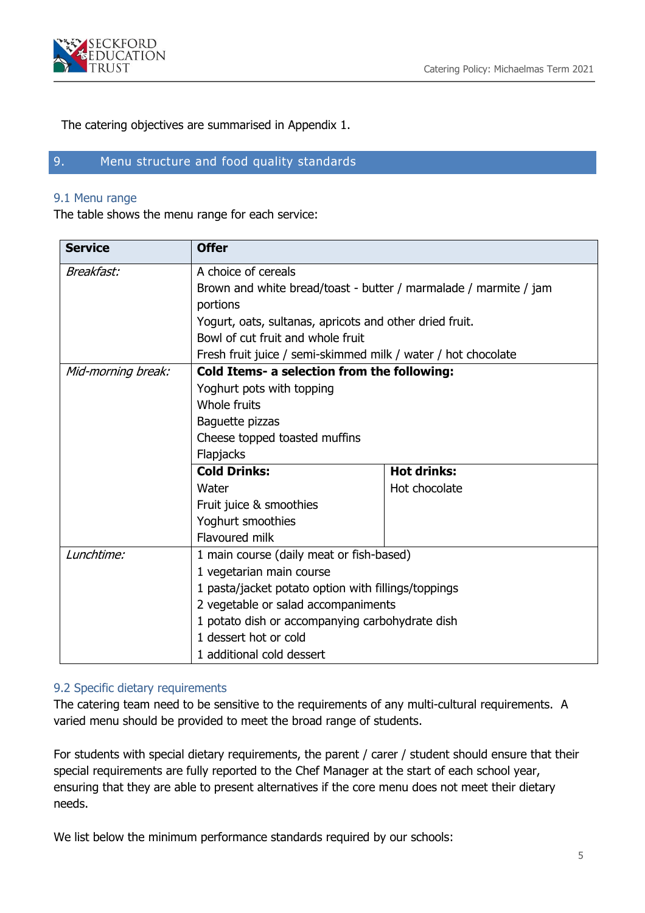

The catering objectives are summarised in Appendix 1.

# 9. Menu structure and food quality standards

#### 9.1 Menu range

The table shows the menu range for each service:

| <b>Service</b>     | <b>Offer</b>                                                                                               |                    |  |  |  |
|--------------------|------------------------------------------------------------------------------------------------------------|--------------------|--|--|--|
| Breakfast:         | A choice of cereals                                                                                        |                    |  |  |  |
|                    | Brown and white bread/toast - butter / marmalade / marmite / jam                                           |                    |  |  |  |
|                    | portions                                                                                                   |                    |  |  |  |
|                    | Yogurt, oats, sultanas, apricots and other dried fruit.                                                    |                    |  |  |  |
|                    | Bowl of cut fruit and whole fruit                                                                          |                    |  |  |  |
|                    | Fresh fruit juice / semi-skimmed milk / water / hot chocolate                                              |                    |  |  |  |
| Mid-morning break: | Cold Items- a selection from the following:                                                                |                    |  |  |  |
|                    | Yoghurt pots with topping<br>Whole fruits<br>Baguette pizzas<br>Cheese topped toasted muffins<br>Flapjacks |                    |  |  |  |
|                    |                                                                                                            |                    |  |  |  |
|                    |                                                                                                            |                    |  |  |  |
|                    |                                                                                                            |                    |  |  |  |
|                    |                                                                                                            |                    |  |  |  |
|                    | <b>Cold Drinks:</b>                                                                                        | <b>Hot drinks:</b> |  |  |  |
|                    | Water                                                                                                      | Hot chocolate      |  |  |  |
|                    | Fruit juice & smoothies                                                                                    |                    |  |  |  |
|                    | Yoghurt smoothies                                                                                          |                    |  |  |  |
|                    | Flavoured milk                                                                                             |                    |  |  |  |
| Lunchtime:         | 1 main course (daily meat or fish-based)                                                                   |                    |  |  |  |
|                    | 1 vegetarian main course                                                                                   |                    |  |  |  |
|                    | 1 pasta/jacket potato option with fillings/toppings                                                        |                    |  |  |  |
|                    | 2 vegetable or salad accompaniments                                                                        |                    |  |  |  |
|                    | 1 potato dish or accompanying carbohydrate dish                                                            |                    |  |  |  |
|                    | 1 dessert hot or cold<br>1 additional cold dessert                                                         |                    |  |  |  |
|                    |                                                                                                            |                    |  |  |  |

#### 9.2 Specific dietary requirements

The catering team need to be sensitive to the requirements of any multi-cultural requirements. A varied menu should be provided to meet the broad range of students.

For students with special dietary requirements, the parent / carer / student should ensure that their special requirements are fully reported to the Chef Manager at the start of each school year, ensuring that they are able to present alternatives if the core menu does not meet their dietary needs.

We list below the minimum performance standards required by our schools: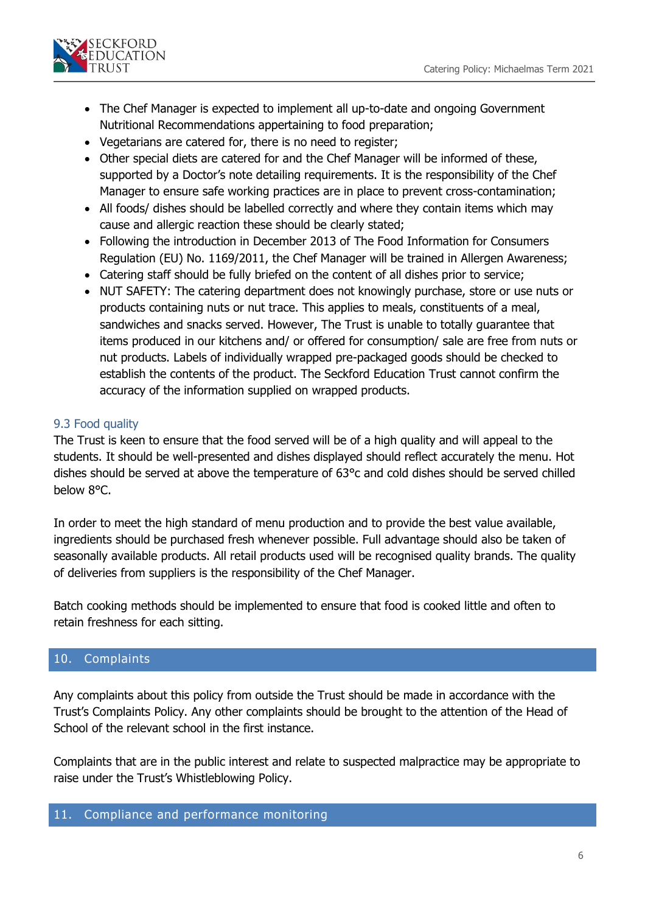

- The Chef Manager is expected to implement all up-to-date and ongoing Government Nutritional Recommendations appertaining to food preparation;
- Vegetarians are catered for, there is no need to register;
- Other special diets are catered for and the Chef Manager will be informed of these, supported by a Doctor's note detailing requirements. It is the responsibility of the Chef Manager to ensure safe working practices are in place to prevent cross-contamination;
- All foods/ dishes should be labelled correctly and where they contain items which may cause and allergic reaction these should be clearly stated;
- Following the introduction in December 2013 of The Food Information for Consumers Regulation (EU) No. 1169/2011, the Chef Manager will be trained in Allergen Awareness;
- Catering staff should be fully briefed on the content of all dishes prior to service;
- NUT SAFETY: The catering department does not knowingly purchase, store or use nuts or products containing nuts or nut trace. This applies to meals, constituents of a meal, sandwiches and snacks served. However, The Trust is unable to totally guarantee that items produced in our kitchens and/ or offered for consumption/ sale are free from nuts or nut products. Labels of individually wrapped pre-packaged goods should be checked to establish the contents of the product. The Seckford Education Trust cannot confirm the accuracy of the information supplied on wrapped products.

# 9.3 Food quality

The Trust is keen to ensure that the food served will be of a high quality and will appeal to the students. It should be well-presented and dishes displayed should reflect accurately the menu. Hot dishes should be served at above the temperature of 63°c and cold dishes should be served chilled below 8°C.

In order to meet the high standard of menu production and to provide the best value available, ingredients should be purchased fresh whenever possible. Full advantage should also be taken of seasonally available products. All retail products used will be recognised quality brands. The quality of deliveries from suppliers is the responsibility of the Chef Manager.

Batch cooking methods should be implemented to ensure that food is cooked little and often to retain freshness for each sitting.

# 10. Complaints

Any complaints about this policy from outside the Trust should be made in accordance with the Trust's Complaints Policy. Any other complaints should be brought to the attention of the Head of School of the relevant school in the first instance.

Complaints that are in the public interest and relate to suspected malpractice may be appropriate to raise under the Trust's Whistleblowing Policy.

#### 11. Compliance and performance monitoring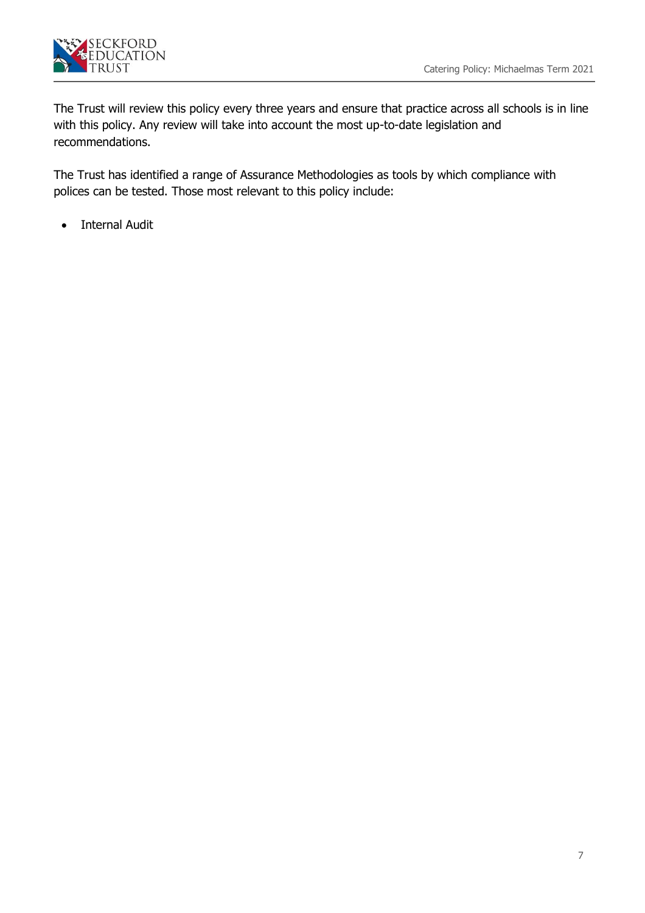

The Trust will review this policy every three years and ensure that practice across all schools is in line with this policy. Any review will take into account the most up-to-date legislation and recommendations.

The Trust has identified a range of Assurance Methodologies as tools by which compliance with polices can be tested. Those most relevant to this policy include:

• Internal Audit